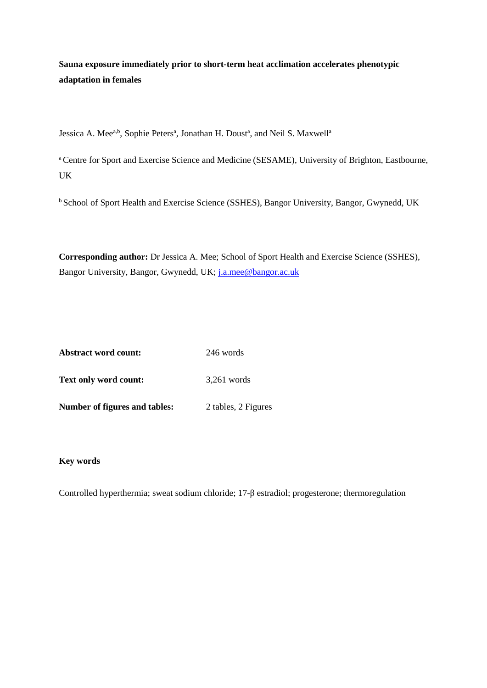**Sauna exposure immediately prior to short-term heat acclimation accelerates phenotypic adaptation in females** 

Jessica A. Mee<sup>a,b</sup>, Sophie Peters<sup>a</sup>, Jonathan H. Doust<sup>a</sup>, and Neil S. Maxwell<sup>a</sup>

<sup>a</sup> Centre for Sport and Exercise Science and Medicine (SESAME), University of Brighton, Eastbourne, UK

b School of Sport Health and Exercise Science (SSHES), Bangor University, Bangor, Gwynedd, UK

**Corresponding author:** Dr Jessica A. Mee; School of Sport Health and Exercise Science (SSHES), Bangor University, Bangor, Gwynedd, UK; [j.a.mee@bangor.ac.uk](mailto:j.a.mee@bangor.ac.uk)

| <b>Abstract word count:</b>   | 246 words           |  |  |
|-------------------------------|---------------------|--|--|
| <b>Text only word count:</b>  | $3,261$ words       |  |  |
| Number of figures and tables: | 2 tables, 2 Figures |  |  |

# **Key words**

Controlled hyperthermia; sweat sodium chloride; 17-β estradiol; progesterone; thermoregulation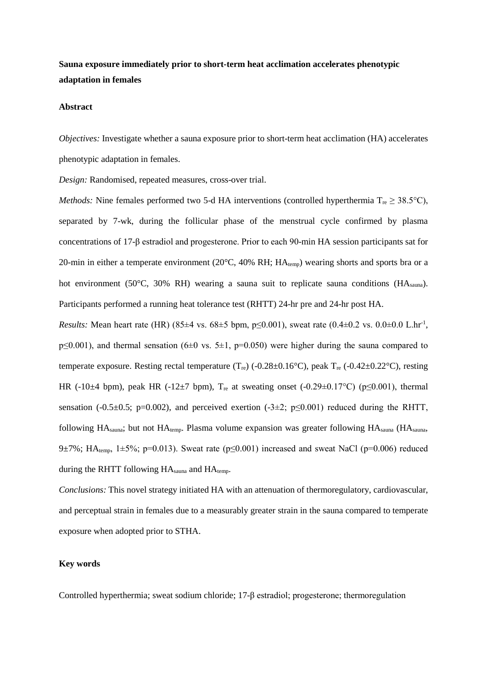# **Sauna exposure immediately prior to short-term heat acclimation accelerates phenotypic adaptation in females**

#### **Abstract**

*Objectives:* Investigate whether a sauna exposure prior to short-term heat acclimation (HA) accelerates phenotypic adaptation in females.

*Design:* Randomised, repeated measures, cross-over trial.

*Methods:* Nine females performed two 5-d HA interventions (controlled hyperthermia  $T_{re} \geq 38.5^{\circ}C$ ), separated by 7-wk, during the follicular phase of the menstrual cycle confirmed by plasma concentrations of 17-β estradiol and progesterone. Prior to each 90-min HA session participants sat for 20-min in either a temperate environment (20°C, 40% RH; HAtemp) wearing shorts and sports bra or a hot environment (50°C, 30% RH) wearing a sauna suit to replicate sauna conditions (HA<sub>sauna</sub>). Participants performed a running heat tolerance test (RHTT) 24-hr pre and 24-hr post HA.

*Results:* Mean heart rate (HR)  $(85 \pm 4 \text{ vs. } 68 \pm 5 \text{ bpm}, p \le 0.001)$ , sweat rate  $(0.4 \pm 0.2 \text{ vs. } 0.0 \pm 0.0 \text{ L/hr}^1$ , p≤0.001), and thermal sensation (6±0 vs. 5±1, p=0.050) were higher during the sauna compared to temperate exposure. Resting rectal temperature  $(T_{re})$  (-0.28±0.16°C), peak  $T_{re}$  (-0.42±0.22°C), resting HR (-10 $\pm$ 4 bpm), peak HR (-12 $\pm$ 7 bpm), T<sub>re</sub> at sweating onset (-0.29 $\pm$ 0.17°C) (p $\leq$ 0.001), thermal sensation (-0.5 $\pm$ 0.5; p=0.002), and perceived exertion (-3 $\pm$ 2; p $\leq$ 0.001) reduced during the RHTT, following  $HA_{sauna}$ ; but not  $HA_{temp}$ . Plasma volume expansion was greater following  $HA_{sauna}$  ( $HA_{sauna}$ ) 9 $\pm$ 7%; HA<sub>temp</sub>, 1 $\pm$ 5%; p=0.013). Sweat rate (p $\leq$ 0.001) increased and sweat NaCl (p=0.006) reduced during the RHTT following HA<sub>sauna</sub> and HA<sub>temp</sub>.

*Conclusions:* This novel strategy initiated HA with an attenuation of thermoregulatory, cardiovascular, and perceptual strain in females due to a measurably greater strain in the sauna compared to temperate exposure when adopted prior to STHA.

#### **Key words**

Controlled hyperthermia; sweat sodium chloride; 17-β estradiol; progesterone; thermoregulation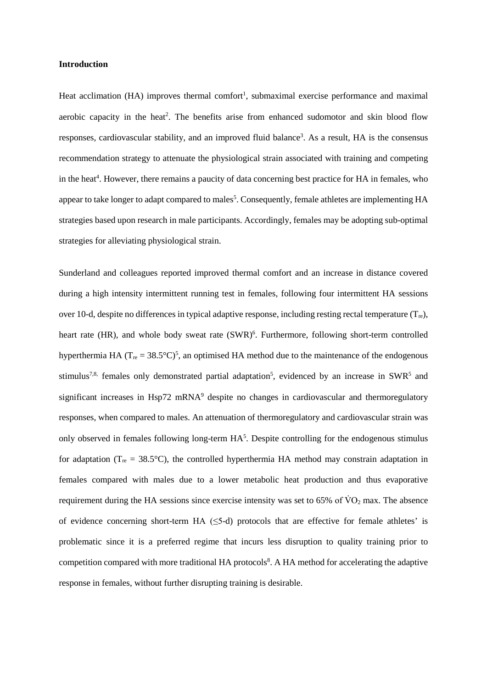#### **Introduction**

Heat acclimation (HA) improves thermal comfort<sup>1</sup>, submaximal exercise performance and maximal aerobic capacity in the heat<sup>2</sup>. The benefits arise from enhanced sudomotor and skin blood flow responses, cardiovascular stability, and an improved fluid balance<sup>3</sup>. As a result, HA is the consensus recommendation strategy to attenuate the physiological strain associated with training and competing in the heat<sup>4</sup>. However, there remains a paucity of data concerning best practice for HA in females, who appear to take longer to adapt compared to males<sup>5</sup>. Consequently, female athletes are implementing HA strategies based upon research in male participants. Accordingly, females may be adopting sub-optimal strategies for alleviating physiological strain.

Sunderland and colleagues reported improved thermal comfort and an increase in distance covered during a high intensity intermittent running test in females, following four intermittent HA sessions over 10-d, despite no differences in typical adaptive response, including resting rectal temperature  $(T_{\text{re}})$ , heart rate (HR), and whole body sweat rate (SWR)<sup>6</sup>. Furthermore, following short-term controlled hyperthermia HA ( $T_{re} = 38.5^{\circ}C^{5}$ , an optimised HA method due to the maintenance of the endogenous stimulus<sup>7,8,</sup> females only demonstrated partial adaptation<sup>5</sup>, evidenced by an increase in SWR<sup>5</sup> and significant increases in Hsp72 mRNA<sup>9</sup> despite no changes in cardiovascular and thermoregulatory responses, when compared to males. An attenuation of thermoregulatory and cardiovascular strain was only observed in females following long-term HA<sup>5</sup>. Despite controlling for the endogenous stimulus for adaptation ( $T_{re} = 38.5^{\circ}$ C), the controlled hyperthermia HA method may constrain adaptation in females compared with males due to a lower metabolic heat production and thus evaporative requirement during the HA sessions since exercise intensity was set to  $65\%$  of  $\rm\dot{VO}_2$  max. The absence of evidence concerning short-term HA  $(\leq$ 5-d) protocols that are effective for female athletes' is problematic since it is a preferred regime that incurs less disruption to quality training prior to competition compared with more traditional HA protocols<sup>8</sup>. A HA method for accelerating the adaptive response in females, without further disrupting training is desirable.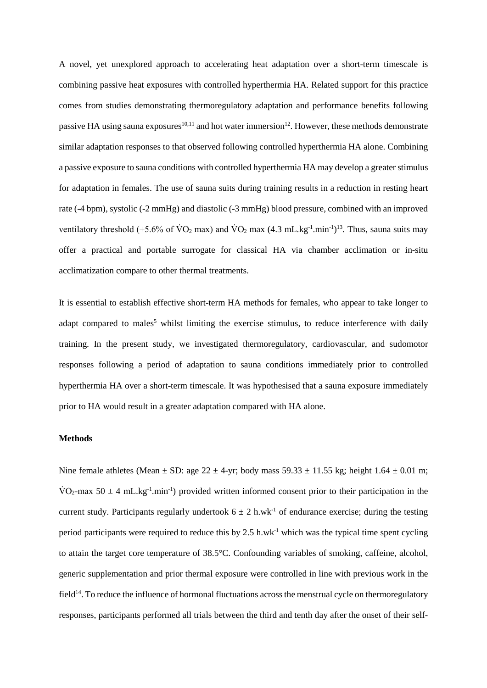A novel, yet unexplored approach to accelerating heat adaptation over a short-term timescale is combining passive heat exposures with controlled hyperthermia HA. Related support for this practice comes from studies demonstrating thermoregulatory adaptation and performance benefits following passive HA using sauna exposures<sup>10,11</sup> and hot water immersion<sup>12</sup>. However, these methods demonstrate similar adaptation responses to that observed following controlled hyperthermia HA alone. Combining a passive exposure to sauna conditions with controlled hyperthermia HA may develop a greater stimulus for adaptation in females. The use of sauna suits during training results in a reduction in resting heart rate (-4 bpm), systolic (-2 mmHg) and diastolic (-3 mmHg) blood pressure, combined with an improved ventilatory threshold (+5.6% of  $\rm \dot{V}O_2$  max) and  $\rm \dot{V}O_2$  max (4.3 mL.kg<sup>-1</sup>.min<sup>-1</sup>)<sup>13</sup>. Thus, sauna suits may offer a practical and portable surrogate for classical HA via chamber acclimation or in-situ acclimatization compare to other thermal treatments.

It is essential to establish effective short-term HA methods for females, who appear to take longer to adapt compared to males<sup>5</sup> whilst limiting the exercise stimulus, to reduce interference with daily training. In the present study, we investigated thermoregulatory, cardiovascular, and sudomotor responses following a period of adaptation to sauna conditions immediately prior to controlled hyperthermia HA over a short-term timescale. It was hypothesised that a sauna exposure immediately prior to HA would result in a greater adaptation compared with HA alone.

#### **Methods**

Nine female athletes (Mean  $\pm$  SD: age 22  $\pm$  4-yr; body mass 59.33  $\pm$  11.55 kg; height 1.64  $\pm$  0.01 m;  $\text{VO}_2$ -max 50  $\pm$  4 mL.kg<sup>-1</sup>.min<sup>-1</sup>) provided written informed consent prior to their participation in the current study. Participants regularly undertook  $6 \pm 2$  h.wk<sup>-1</sup> of endurance exercise; during the testing period participants were required to reduce this by 2.5 h.wk<sup>-1</sup> which was the typical time spent cycling to attain the target core temperature of 38.5°C. Confounding variables of smoking, caffeine, alcohol, generic supplementation and prior thermal exposure were controlled in line with previous work in the  $field<sup>14</sup>$ . To reduce the influence of hormonal fluctuations across the menstrual cycle on thermoregulatory responses, participants performed all trials between the third and tenth day after the onset of their self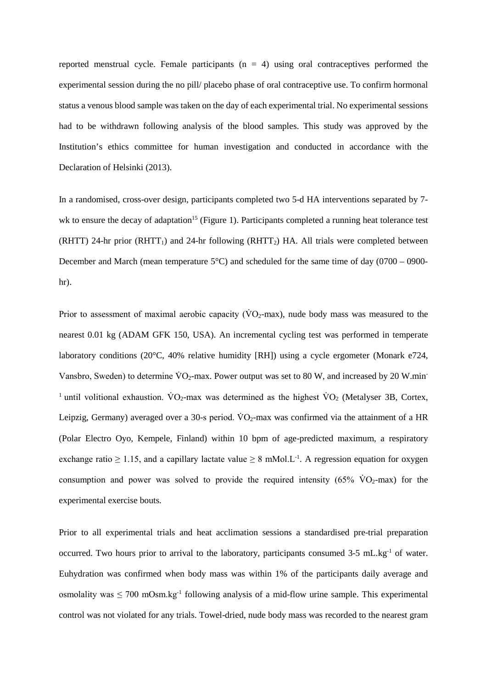reported menstrual cycle. Female participants  $(n = 4)$  using oral contraceptives performed the experimental session during the no pill/ placebo phase of oral contraceptive use. To confirm hormonal status a venous blood sample was taken on the day of each experimental trial. No experimental sessions had to be withdrawn following analysis of the blood samples. This study was approved by the Institution's ethics committee for human investigation and conducted in accordance with the Declaration of Helsinki (2013).

In a randomised, cross-over design, participants completed two 5-d HA interventions separated by 7 wk to ensure the decay of adaptation<sup>15</sup> (Figure 1). Participants completed a running heat tolerance test (RHTT) 24-hr prior (RHTT<sub>1</sub>) and 24-hr following (RHTT<sub>2</sub>) HA. All trials were completed between December and March (mean temperature 5°C) and scheduled for the same time of day (0700 – 0900 hr).

Prior to assessment of maximal aerobic capacity ( $\rm\dot{VO_{2}}$ -max), nude body mass was measured to the nearest 0.01 kg (ADAM GFK 150, USA). An incremental cycling test was performed in temperate laboratory conditions (20°C, 40% relative humidity [RH]) using a cycle ergometer (Monark e724, Vansbro, Sweden) to determine  $\text{VO}_2$ -max. Power output was set to 80 W, and increased by 20 W.min-<sup>1</sup> until volitional exhaustion.  $\rm\ddot{V}O_{2}$ -max was determined as the highest  $\rm\ddot{V}O_{2}$  (Metalyser 3B, Cortex, Leipzig, Germany) averaged over a 30-s period.  $VO<sub>2</sub>$ -max was confirmed via the attainment of a HR (Polar Electro Oyo, Kempele, Finland) within 10 bpm of age-predicted maximum, a respiratory exchange ratio  $\geq 1.15$ , and a capillary lactate value  $\geq 8$  mMol.L<sup>-1</sup>. A regression equation for oxygen consumption and power was solved to provide the required intensity  $(65\% \text{ VO}_2\text{-max})$  for the experimental exercise bouts.

Prior to all experimental trials and heat acclimation sessions a standardised pre-trial preparation occurred. Two hours prior to arrival to the laboratory, participants consumed 3-5 mL.kg<sup>-1</sup> of water. Euhydration was confirmed when body mass was within 1% of the participants daily average and osmolality was  $\leq 700$  mOsm.kg<sup>-1</sup> following analysis of a mid-flow urine sample. This experimental control was not violated for any trials. Towel-dried, nude body mass was recorded to the nearest gram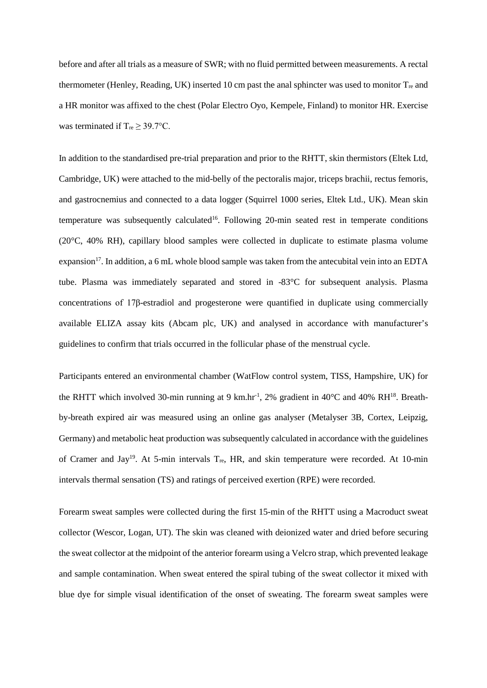before and after all trials as a measure of SWR; with no fluid permitted between measurements. A rectal thermometer (Henley, Reading, UK) inserted 10 cm past the anal sphincter was used to monitor  $T_{re}$  and a HR monitor was affixed to the chest (Polar Electro Oyo, Kempele, Finland) to monitor HR. Exercise was terminated if  $T_{re} \geq 39.7$ °C.

In addition to the standardised pre-trial preparation and prior to the RHTT, skin thermistors (Eltek Ltd, Cambridge, UK) were attached to the mid-belly of the pectoralis major, triceps brachii, rectus femoris, and gastrocnemius and connected to a data logger (Squirrel 1000 series, Eltek Ltd., UK). Mean skin temperature was subsequently calculated<sup>16</sup>. Following 20-min seated rest in temperate conditions (20°C, 40% RH), capillary blood samples were collected in duplicate to estimate plasma volume expansion<sup>17</sup>. In addition, a 6 mL whole blood sample was taken from the antecubital vein into an EDTA tube. Plasma was immediately separated and stored in -83°C for subsequent analysis. Plasma concentrations of 17β-estradiol and progesterone were quantified in duplicate using commercially available ELIZA assay kits (Abcam plc, UK) and analysed in accordance with manufacturer's guidelines to confirm that trials occurred in the follicular phase of the menstrual cycle.

Participants entered an environmental chamber (WatFlow control system, TISS, Hampshire, UK) for the RHTT which involved 30-min running at 9 km.hr<sup>-1</sup>, 2% gradient in 40°C and 40% RH<sup>18</sup>. Breathby-breath expired air was measured using an online gas analyser (Metalyser 3B, Cortex, Leipzig, Germany) and metabolic heat production was subsequently calculated in accordance with the guidelines of Cramer and Jay<sup>19</sup>. At 5-min intervals  $T_{re}$ , HR, and skin temperature were recorded. At 10-min intervals thermal sensation (TS) and ratings of perceived exertion (RPE) were recorded.

Forearm sweat samples were collected during the first 15-min of the RHTT using a Macroduct sweat collector (Wescor, Logan, UT). The skin was cleaned with deionized water and dried before securing the sweat collector at the midpoint of the anterior forearm using a Velcro strap, which prevented leakage and sample contamination. When sweat entered the spiral tubing of the sweat collector it mixed with blue dye for simple visual identification of the onset of sweating. The forearm sweat samples were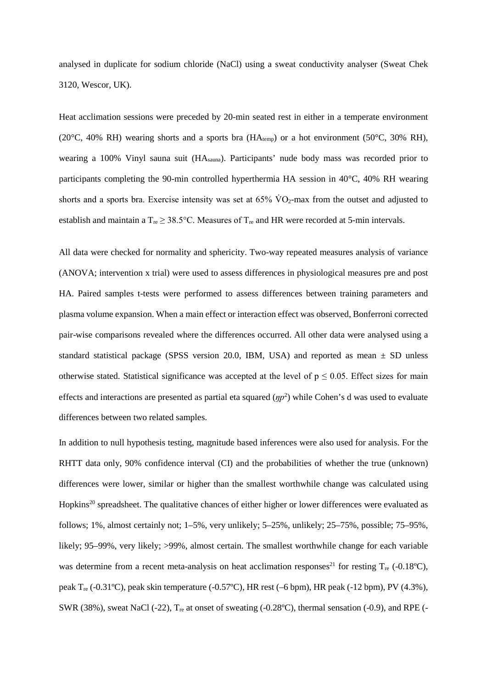analysed in duplicate for sodium chloride (NaCl) using a sweat conductivity analyser (Sweat Chek 3120, Wescor, UK).

Heat acclimation sessions were preceded by 20-min seated rest in either in a temperate environment (20 $^{\circ}$ C, 40% RH) wearing shorts and a sports bra (HA<sub>temp</sub>) or a hot environment (50 $^{\circ}$ C, 30% RH), wearing a 100% Vinyl sauna suit (HAsauna). Participants' nude body mass was recorded prior to participants completing the 90-min controlled hyperthermia HA session in 40°C, 40% RH wearing shorts and a sports bra. Exercise intensity was set at  $65\%$  VO<sub>2</sub>-max from the outset and adjusted to establish and maintain a  $T_{\text{re}} \geq 38.5^{\circ}\text{C}$ . Measures of  $T_{\text{re}}$  and HR were recorded at 5-min intervals.

All data were checked for normality and sphericity. Two-way repeated measures analysis of variance (ANOVA; intervention x trial) were used to assess differences in physiological measures pre and post HA. Paired samples t-tests were performed to assess differences between training parameters and plasma volume expansion. When a main effect or interaction effect was observed, Bonferroni corrected pair-wise comparisons revealed where the differences occurred. All other data were analysed using a standard statistical package (SPSS version 20.0, IBM, USA) and reported as mean  $\pm$  SD unless otherwise stated. Statistical significance was accepted at the level of  $p \le 0.05$ . Effect sizes for main effects and interactions are presented as partial eta squared  $(pp<sup>2</sup>)$  while Cohen's d was used to evaluate differences between two related samples.

In addition to null hypothesis testing, magnitude based inferences were also used for analysis. For the RHTT data only, 90% confidence interval (CI) and the probabilities of whether the true (unknown) differences were lower, similar or higher than the smallest worthwhile change was calculated using Hopkins<sup>20</sup> spreadsheet. The qualitative chances of either higher or lower differences were evaluated as follows; 1%, almost certainly not; 1–5%, very unlikely; 5–25%, unlikely; 25–75%, possible; 75–95%, likely; 95–99%, very likely; >99%, almost certain. The smallest worthwhile change for each variable was determine from a recent meta-analysis on heat acclimation responses<sup>21</sup> for resting  $T_{\text{re}}$  (-0.18°C), peak Tre (-0.31ºC), peak skin temperature (-0.57ºC), HR rest (–6 bpm), HR peak (-12 bpm), PV (4.3%), SWR (38%), sweat NaCl (-22),  $T_{\text{re}}$  at onset of sweating (-0.28°C), thermal sensation (-0.9), and RPE (-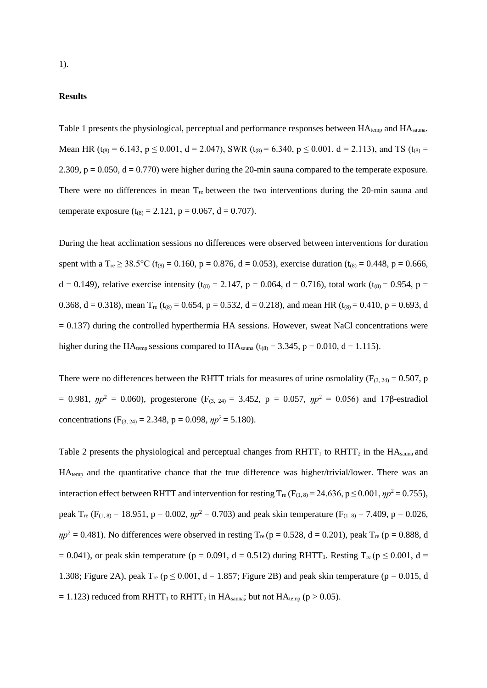#### **Results**

Table 1 presents the physiological, perceptual and performance responses between HA<sub>temp</sub> and HA<sub>sauna</sub>. Mean HR (t<sub>(8)</sub> = 6.143, p  $\leq$  0.001, d = 2.047), SWR (t<sub>(8)</sub> = 6.340, p  $\leq$  0.001, d = 2.113), and TS (t<sub>(8)</sub> = 2.309,  $p = 0.050$ ,  $d = 0.770$ ) were higher during the 20-min sauna compared to the temperate exposure. There were no differences in mean  $T_{\text{re}}$  between the two interventions during the 20-min sauna and temperate exposure  $(t_{(8)} = 2.121, p = 0.067, d = 0.707)$ .

During the heat acclimation sessions no differences were observed between interventions for duration spent with a  $T_{re} \ge 38.5^{\circ}\text{C}$  (t<sub>(8)</sub> = 0.160, p = 0.876, d = 0.053), exercise duration (t<sub>(8)</sub> = 0.448, p = 0.666, d = 0.149), relative exercise intensity (t<sub>(8)</sub> = 2.147, p = 0.064, d = 0.716), total work (t<sub>(8)</sub> = 0.954, p = 0.368, d = 0.318), mean  $T_{\text{re}}$  (t<sub>(8)</sub> = 0.654, p = 0.532, d = 0.218), and mean HR (t<sub>(8)</sub> = 0.410, p = 0.693, d  $= 0.137$ ) during the controlled hyperthermia HA sessions. However, sweat NaCl concentrations were higher during the HA<sub>temp</sub> sessions compared to HA<sub>sauna</sub> ( $t_{(8)} = 3.345$ ,  $p = 0.010$ ,  $d = 1.115$ ).

There were no differences between the RHTT trials for measures of urine osmolality ( $F_{(3, 24)} = 0.507$ , p = 0.981,  $np^2$  = 0.060), progesterone (F<sub>(3, 24)</sub> = 3.452, p = 0.057,  $np^2$  = 0.056) and 17β-estradiol concentrations (F<sub>(3, 24)</sub> = 2.348, p = 0.098,  $np^2$  = 5.180).

Table 2 presents the physiological and perceptual changes from  $RHTT_1$  to  $RHTT_2$  in the  $HA_{\text{sauna}}$  and HAtemp and the quantitative chance that the true difference was higher/trivial/lower. There was an interaction effect between RHTT and intervention for resting  $T_{re}$  (F<sub>(1, 8)</sub> = 24.636, p  $\leq$  0.001,  $\eta p^2$  = 0.755), peak T<sub>re</sub> (F<sub>(1, 8)</sub> = 18.951, p = 0.002,  $np^2$  = 0.703) and peak skin temperature (F<sub>(1, 8)</sub> = 7.409, p = 0.026,  $\eta p^2 = 0.481$ ). No differences were observed in resting T<sub>re</sub> (p = 0.528, d = 0.201), peak T<sub>re</sub> (p = 0.888, d  $= 0.041$ ), or peak skin temperature (p = 0.091, d = 0.512) during RHTT<sub>1</sub>. Resting T<sub>re</sub> (p  $\leq 0.001$ , d = 1.308; Figure 2A), peak  $T_{re}$  ( $p \le 0.001$ ,  $d = 1.857$ ; Figure 2B) and peak skin temperature ( $p = 0.015$ , d  $= 1.123$ ) reduced from RHTT<sub>1</sub> to RHTT<sub>2</sub> in HA<sub>sauna</sub>; but not HA<sub>temp</sub> (p > 0.05).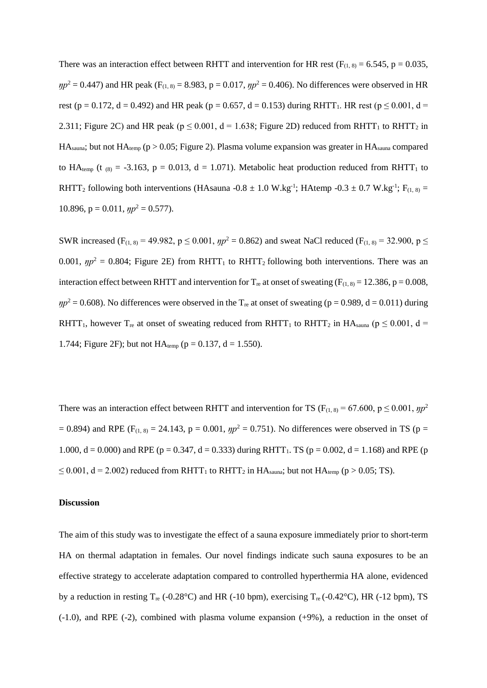There was an interaction effect between RHTT and intervention for HR rest ( $F_{(1, 8)} = 6.545$ ,  $p = 0.035$ ,  $\eta p^2 = 0.447$ ) and HR peak (F<sub>(1, 8)</sub> = 8.983, p = 0.017,  $\eta p^2 = 0.406$ ). No differences were observed in HR rest (p = 0.172, d = 0.492) and HR peak (p = 0.657, d = 0.153) during RHTT<sub>1</sub>. HR rest (p  $\leq$  0.001, d = 2.311; Figure 2C) and HR peak ( $p \le 0.001$ ,  $d = 1.638$ ; Figure 2D) reduced from RHTT<sub>1</sub> to RHTT<sub>2</sub> in  $HA_{sauna}$ ; but not  $HA_{temp}$  (p > 0.05; Figure 2). Plasma volume expansion was greater in  $HA_{sauna}$  compared to HA<sub>temp</sub> (t<sub>(8)</sub> = -3.163, p = 0.013, d = 1.071). Metabolic heat production reduced from RHTT<sub>1</sub> to RHTT<sub>2</sub> following both interventions (HAsauna -0.8  $\pm$  1.0 W.kg<sup>-1</sup>; HAtemp -0.3  $\pm$  0.7 W.kg<sup>-1</sup>; F<sub>(1, 8)</sub> = 10.896,  $p = 0.011$ ,  $\eta p^2 = 0.577$ ).

SWR increased (F<sub>(1, 8)</sub> = 49.982,  $p \le 0.001$ ,  $\eta p^2 = 0.862$ ) and sweat NaCl reduced (F<sub>(1, 8)</sub> = 32.900,  $p \le$ 0.001,  $np^2 = 0.804$ ; Figure 2E) from RHTT<sub>1</sub> to RHTT<sub>2</sub> following both interventions. There was an interaction effect between RHTT and intervention for  $T_{re}$  at onset of sweating ( $F_{(1, 8)} = 12.386$ ,  $p = 0.008$ ,  $\eta p^2 = 0.608$ ). No differences were observed in the T<sub>re</sub> at onset of sweating (p = 0.989, d = 0.011) during RHTT<sub>1</sub>, however T<sub>re</sub> at onset of sweating reduced from RHTT<sub>1</sub> to RHTT<sub>2</sub> in HA<sub>sauna</sub> ( $p \le 0.001$ , d = 1.744; Figure 2F); but not  $HA_{temp}$  ( $p = 0.137$ ,  $d = 1.550$ ).

There was an interaction effect between RHTT and intervention for TS ( $F_{(1, 8)} = 67.600$ ,  $p \le 0.001$ ,  $\eta p^2$  $= 0.894$ ) and RPE (F<sub>(1, 8)</sub> = 24.143, p = 0.001,  $pp^2 = 0.751$ ). No differences were observed in TS (p = 1.000, d = 0.000) and RPE (p = 0.347, d = 0.333) during RHTT<sub>1</sub>. TS (p = 0.002, d = 1.168) and RPE (p  $\leq$  0.001, d = 2.002) reduced from RHTT<sub>1</sub> to RHTT<sub>2</sub> in HA<sub>sauna</sub>; but not HA<sub>temp</sub> (p > 0.05; TS).

#### **Discussion**

The aim of this study was to investigate the effect of a sauna exposure immediately prior to short-term HA on thermal adaptation in females. Our novel findings indicate such sauna exposures to be an effective strategy to accelerate adaptation compared to controlled hyperthermia HA alone, evidenced by a reduction in resting  $T_{\text{re}}$  (-0.28°C) and HR (-10 bpm), exercising  $T_{\text{re}}$  (-0.42°C), HR (-12 bpm), TS (-1.0), and RPE (-2), combined with plasma volume expansion (+9%), a reduction in the onset of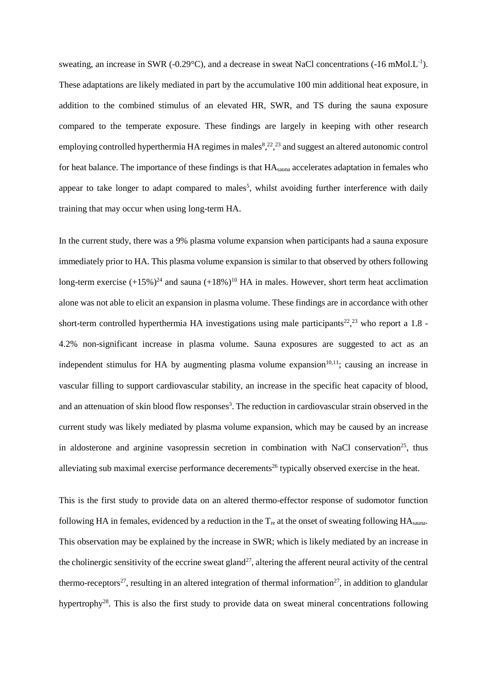sweating, an increase in SWR (-0.29 $^{\circ}$ C), and a decrease in sweat NaCl concentrations (-16 mMol.L<sup>-1</sup>). These adaptations are likely mediated in part by the accumulative 100 min additional heat exposure, in addition to the combined stimulus of an elevated HR, SWR, and TS during the sauna exposure compared to the temperate exposure. These findings are largely in keeping with other research employing controlled hyperthermia HA regimes in males<sup>8</sup>,<sup>22</sup>,<sup>23</sup> and suggest an altered autonomic control for heat balance. The importance of these findings is that HAsauna accelerates adaptation in females who appear to take longer to adapt compared to males<sup>5</sup>, whilst avoiding further interference with daily training that may occur when using long-term HA.

In the current study, there was a 9% plasma volume expansion when participants had a sauna exposure immediately prior to HA. This plasma volume expansion is similar to that observed by others following long-term exercise  $(+15\%)^{24}$  and sauna  $(+18\%)^{10}$  HA in males. However, short term heat acclimation alone was not able to elicit an expansion in plasma volume. These findings are in accordance with other short-term controlled hyperthermia HA investigations using male participants<sup>22</sup>,<sup>23</sup> who report a 1.8 -4.2% non-significant increase in plasma volume. Sauna exposures are suggested to act as an independent stimulus for HA by augmenting plasma volume expansion<sup>10,11</sup>; causing an increase in vascular filling to support cardiovascular stability, an increase in the specific heat capacity of blood, and an attenuation of skin blood flow responses<sup>3</sup>. The reduction in cardiovascular strain observed in the current study was likely mediated by plasma volume expansion, which may be caused by an increase in aldosterone and arginine vasopressin secretion in combination with NaCl conservation<sup>25</sup>, thus alleviating sub maximal exercise performance decerements<sup>26</sup> typically observed exercise in the heat.

This is the first study to provide data on an altered thermo-effector response of sudomotor function following HA in females, evidenced by a reduction in the  $T_{re}$  at the onset of sweating following HA s<sub>auna</sub>. This observation may be explained by the increase in SWR; which is likely mediated by an increase in the cholinergic sensitivity of the eccrine sweat gland<sup>27</sup>, altering the afferent neural activity of the central thermo-receptors<sup>27</sup>, resulting in an altered integration of thermal information<sup>27</sup>, in addition to glandular hypertrophy<sup>28</sup>. This is also the first study to provide data on sweat mineral concentrations following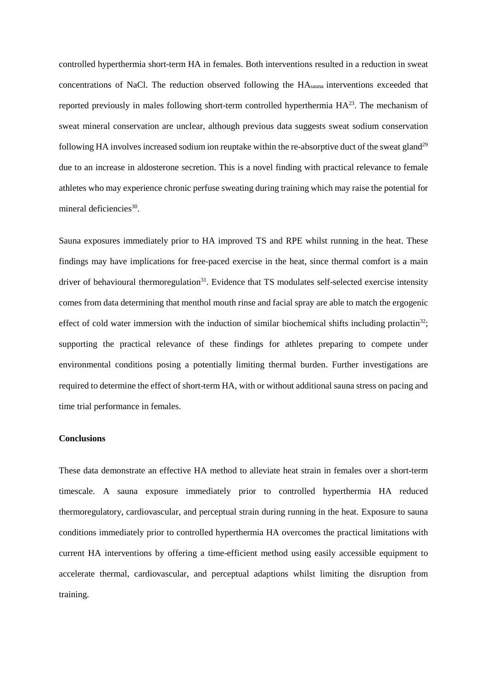controlled hyperthermia short-term HA in females. Both interventions resulted in a reduction in sweat concentrations of NaCl. The reduction observed following the HAsauna interventions exceeded that reported previously in males following short-term controlled hyperthermia  $HA^{23}$ . The mechanism of sweat mineral conservation are unclear, although previous data suggests sweat sodium conservation following HA involves increased sodium ion reuptake within the re-absorptive duct of the sweat gland<sup>29</sup> due to an increase in aldosterone secretion. This is a novel finding with practical relevance to female athletes who may experience chronic perfuse sweating during training which may raise the potential for mineral deficiencies<sup>30</sup>.

Sauna exposures immediately prior to HA improved TS and RPE whilst running in the heat. These findings may have implications for free-paced exercise in the heat, since thermal comfort is a main driver of behavioural thermoregulation<sup>31</sup>. Evidence that TS modulates self-selected exercise intensity comes from data determining that menthol mouth rinse and facial spray are able to match the ergogenic effect of cold water immersion with the induction of similar biochemical shifts including prolactin<sup>32</sup>; supporting the practical relevance of these findings for athletes preparing to compete under environmental conditions posing a potentially limiting thermal burden. Further investigations are required to determine the effect of short-term HA, with or without additional sauna stress on pacing and time trial performance in females.

#### **Conclusions**

These data demonstrate an effective HA method to alleviate heat strain in females over a short-term timescale. A sauna exposure immediately prior to controlled hyperthermia HA reduced thermoregulatory, cardiovascular, and perceptual strain during running in the heat. Exposure to sauna conditions immediately prior to controlled hyperthermia HA overcomes the practical limitations with current HA interventions by offering a time-efficient method using easily accessible equipment to accelerate thermal, cardiovascular, and perceptual adaptions whilst limiting the disruption from training.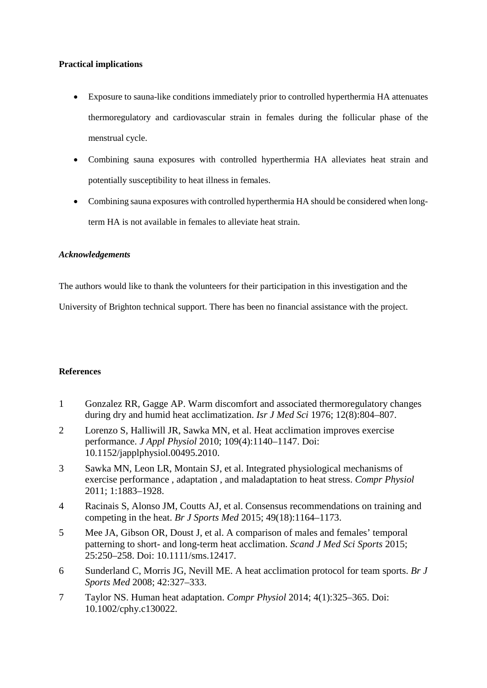### **Practical implications**

- Exposure to sauna-like conditions immediately prior to controlled hyperthermia HA attenuates thermoregulatory and cardiovascular strain in females during the follicular phase of the menstrual cycle.
- Combining sauna exposures with controlled hyperthermia HA alleviates heat strain and potentially susceptibility to heat illness in females.
- Combining sauna exposures with controlled hyperthermia HA should be considered when longterm HA is not available in females to alleviate heat strain.

### *Acknowledgements*

The authors would like to thank the volunteers for their participation in this investigation and the

University of Brighton technical support. There has been no financial assistance with the project.

## **References**

- 1 Gonzalez RR, Gagge AP. Warm discomfort and associated thermoregulatory changes during dry and humid heat acclimatization. *Isr J Med Sci* 1976; 12(8):804–807.
- 2 Lorenzo S, Halliwill JR, Sawka MN, et al. Heat acclimation improves exercise performance. *J Appl Physiol* 2010; 109(4):1140–1147. Doi: 10.1152/japplphysiol.00495.2010.
- 3 Sawka MN, Leon LR, Montain SJ, et al. Integrated physiological mechanisms of exercise performance , adaptation , and maladaptation to heat stress. *Compr Physiol* 2011; 1:1883–1928.
- 4 Racinais S, Alonso JM, Coutts AJ, et al. Consensus recommendations on training and competing in the heat. *Br J Sports Med* 2015; 49(18):1164–1173.
- 5 Mee JA, Gibson OR, Doust J, et al. A comparison of males and females' temporal patterning to short- and long-term heat acclimation. *Scand J Med Sci Sports* 2015; 25:250–258. Doi: 10.1111/sms.12417.
- 6 Sunderland C, Morris JG, Nevill ME. A heat acclimation protocol for team sports. *Br J Sports Med* 2008; 42:327–333.
- 7 Taylor NS. Human heat adaptation. *Compr Physiol* 2014; 4(1):325–365. Doi: 10.1002/cphy.c130022.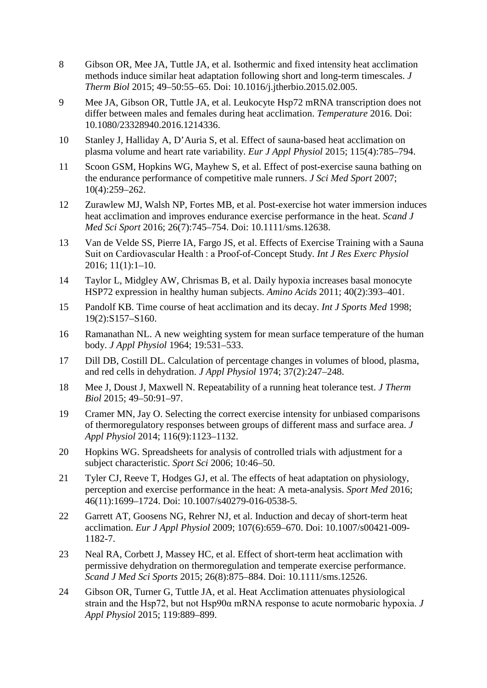- 8 Gibson OR, Mee JA, Tuttle JA, et al. Isothermic and fixed intensity heat acclimation methods induce similar heat adaptation following short and long-term timescales. *J Therm Biol* 2015; 49–50:55–65. Doi: 10.1016/j.jtherbio.2015.02.005.
- 9 Mee JA, Gibson OR, Tuttle JA, et al. Leukocyte Hsp72 mRNA transcription does not differ between males and females during heat acclimation. *Temperature* 2016. Doi: 10.1080/23328940.2016.1214336.
- 10 Stanley J, Halliday A, D'Auria S, et al. Effect of sauna-based heat acclimation on plasma volume and heart rate variability. *Eur J Appl Physiol* 2015; 115(4):785–794.
- 11 Scoon GSM, Hopkins WG, Mayhew S, et al. Effect of post-exercise sauna bathing on the endurance performance of competitive male runners. *J Sci Med Sport* 2007; 10(4):259–262.
- 12 Zurawlew MJ, Walsh NP, Fortes MB, et al. Post-exercise hot water immersion induces heat acclimation and improves endurance exercise performance in the heat. *Scand J Med Sci Sport* 2016; 26(7):745–754. Doi: 10.1111/sms.12638.
- 13 Van de Velde SS, Pierre IA, Fargo JS, et al. Effects of Exercise Training with a Sauna Suit on Cardiovascular Health : a Proof-of-Concept Study. *Int J Res Exerc Physiol* 2016; 11(1):1–10.
- 14 Taylor L, Midgley AW, Chrismas B, et al. Daily hypoxia increases basal monocyte HSP72 expression in healthy human subjects. *Amino Acids* 2011; 40(2):393–401.
- 15 Pandolf KB. Time course of heat acclimation and its decay. *Int J Sports Med* 1998; 19(2):S157–S160.
- 16 Ramanathan NL. A new weighting system for mean surface temperature of the human body. *J Appl Physiol* 1964; 19:531–533.
- 17 Dill DB, Costill DL. Calculation of percentage changes in volumes of blood, plasma, and red cells in dehydration. *J Appl Physiol* 1974; 37(2):247–248.
- 18 Mee J, Doust J, Maxwell N. Repeatability of a running heat tolerance test. *J Therm Biol* 2015; 49–50:91–97.
- 19 Cramer MN, Jay O. Selecting the correct exercise intensity for unbiased comparisons of thermoregulatory responses between groups of different mass and surface area. *J Appl Physiol* 2014; 116(9):1123–1132.
- 20 Hopkins WG. Spreadsheets for analysis of controlled trials with adjustment for a subject characteristic. *Sport Sci* 2006; 10:46–50.
- 21 Tyler CJ, Reeve T, Hodges GJ, et al. The effects of heat adaptation on physiology, perception and exercise performance in the heat: A meta-analysis. *Sport Med* 2016; 46(11):1699–1724. Doi: 10.1007/s40279-016-0538-5.
- 22 Garrett AT, Goosens NG, Rehrer NJ, et al. Induction and decay of short-term heat acclimation. *Eur J Appl Physiol* 2009; 107(6):659–670. Doi: 10.1007/s00421-009- 1182-7.
- 23 Neal RA, Corbett J, Massey HC, et al. Effect of short-term heat acclimation with permissive dehydration on thermoregulation and temperate exercise performance. *Scand J Med Sci Sports* 2015; 26(8):875–884. Doi: 10.1111/sms.12526.
- 24 Gibson OR, Turner G, Tuttle JA, et al. Heat Acclimation attenuates physiological strain and the Hsp72, but not Hsp90α mRNA response to acute normobaric hypoxia. *J Appl Physiol* 2015; 119:889–899.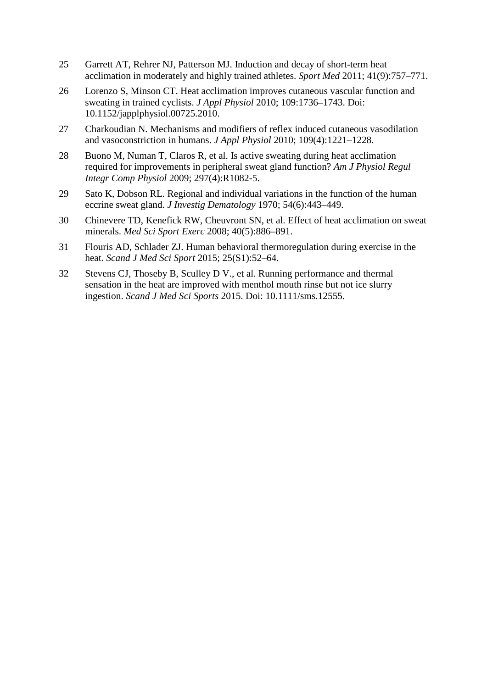- 25 Garrett AT, Rehrer NJ, Patterson MJ. Induction and decay of short-term heat acclimation in moderately and highly trained athletes. *Sport Med* 2011; 41(9):757–771.
- 26 Lorenzo S, Minson CT. Heat acclimation improves cutaneous vascular function and sweating in trained cyclists. *J Appl Physiol* 2010; 109:1736–1743. Doi: 10.1152/japplphysiol.00725.2010.
- 27 Charkoudian N. Mechanisms and modifiers of reflex induced cutaneous vasodilation and vasoconstriction in humans. *J Appl Physiol* 2010; 109(4):1221–1228.
- 28 Buono M, Numan T, Claros R, et al. Is active sweating during heat acclimation required for improvements in peripheral sweat gland function? *Am J Physiol Regul Integr Comp Physiol* 2009; 297(4):R1082-5.
- 29 Sato K, Dobson RL. Regional and individual variations in the function of the human eccrine sweat gland. *J Investig Dematology* 1970; 54(6):443–449.
- 30 Chinevere TD, Kenefick RW, Cheuvront SN, et al. Effect of heat acclimation on sweat minerals. *Med Sci Sport Exerc* 2008; 40(5):886–891.
- 31 Flouris AD, Schlader ZJ. Human behavioral thermoregulation during exercise in the heat. *Scand J Med Sci Sport* 2015; 25(S1):52–64.
- 32 Stevens CJ, Thoseby B, Sculley D V., et al. Running performance and thermal sensation in the heat are improved with menthol mouth rinse but not ice slurry ingestion. *Scand J Med Sci Sports* 2015. Doi: 10.1111/sms.12555.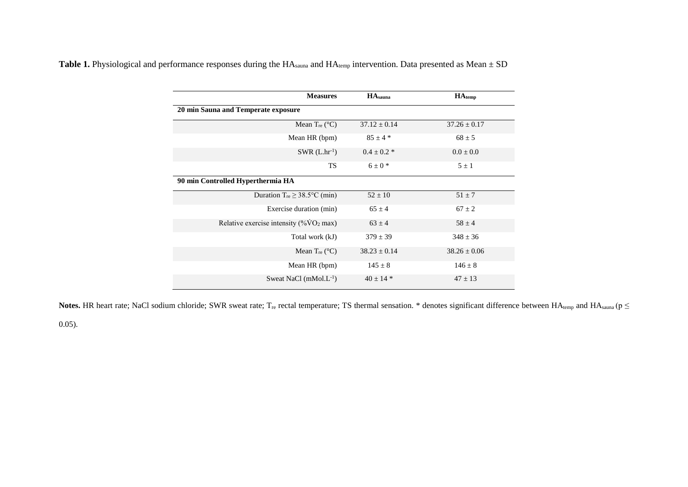| <b>Measures</b>                                          | $HA_{\text{sauna}}$ | $HA$ <sub>temp</sub> |
|----------------------------------------------------------|---------------------|----------------------|
| 20 min Sauna and Temperate exposure                      |                     |                      |
| Mean $T_{\text{re}}$ (°C)                                | $37.12 \pm 0.14$    | $37.26 \pm 0.17$     |
| Mean HR (bpm)                                            | $85 \pm 4*$         | $68 \pm 5$           |
| $SWR$ (L.hr <sup>-1</sup> )                              | $0.4 \pm 0.2$ *     | $0.0 \pm 0.0$        |
| <b>TS</b>                                                | $6 \pm 0$ *         | $5 \pm 1$            |
| 90 min Controlled Hyperthermia HA                        |                     |                      |
| Duration $T_{\text{re}} \geq 38.5^{\circ}\text{C (min)}$ | $52 \pm 10$         | $51 \pm 7$           |
| Exercise duration (min)                                  | $65 \pm 4$          | $67 \pm 2$           |
| Relative exercise intensity $(\%VO_2 \text{ max})$       | $63 \pm 4$          | $58 \pm 4$           |
| Total work (kJ)                                          | $379 \pm 39$        | $348 \pm 36$         |
| Mean $T_{re}$ (°C)                                       | $38.23 \pm 0.14$    | $38.26 \pm 0.06$     |
| Mean HR (bpm)                                            | $145 \pm 8$         | $146 \pm 8$          |
| Sweat NaCl $(mMol.L^{-1})$                               | $40 \pm 14$ *       | $47 \pm 13$          |

Table 1. Physiological and performance responses during the HA<sub>sauna</sub> and HA<sub>temp</sub> intervention. Data presented as Mean ± SD

Notes. HR heart rate; NaCl sodium chloride; SWR sweat rate; T<sub>re</sub> rectal temperature; TS thermal sensation. \* denotes significant difference between  $HA_{temp}$  and  $HA_{samn}$  (p  $\leq$ 

0.05).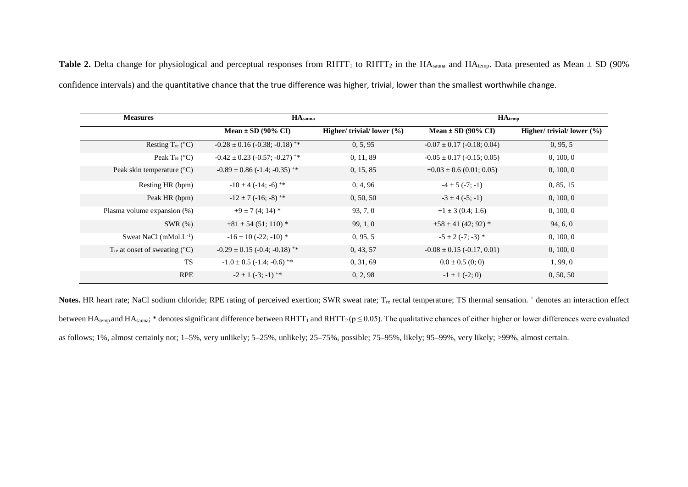**Table 2.** Delta change for physiological and perceptual responses from RHTT<sub>1</sub> to RHTT<sub>2</sub> in the HA<sub>sauna</sub> and HA<sub>temp</sub>. Data presented as Mean  $\pm$  SD (90%) confidence intervals) and the quantitative chance that the true difference was higher, trivial, lower than the smallest worthwhile change.

| <b>Measures</b>                                    | $HA_{\text{sauna}}$                           |                                | $HA$ <sub>temp</sub>               |                               |
|----------------------------------------------------|-----------------------------------------------|--------------------------------|------------------------------------|-------------------------------|
|                                                    | Mean $\pm$ SD (90% CI)                        | Higher/ trivial/ lower $(\% )$ | Mean $\pm$ SD (90% CI)             | Higher/ trivial/lower $(\% )$ |
| Resting $T_{re}$ (°C)                              | $-0.28 \pm 0.16$ (-0.38; -0.18) <sup>+*</sup> | 0, 5, 95                       | $-0.07 \pm 0.17$ (-0.18; 0.04)     | 0, 95, 5                      |
| Peak $T_{re}$ ( $°C$ )                             | $-0.42 \pm 0.23$ (-0.57; -0.27) <sup>+*</sup> | 0, 11, 89                      | $-0.05 \pm 0.17$ ( $-0.15$ ; 0.05) | 0, 100, 0                     |
| Peak skin temperature $(^{\circ}C)$                | $-0.89 \pm 0.86$ (-1.4; -0.35) <sup>+*</sup>  | 0, 15, 85                      | $+0.03 \pm 0.6$ (0.01; 0.05)       | 0, 100, 0                     |
| Resting HR (bpm)                                   | $-10 \pm 4$ (-14; -6) <sup>+*</sup>           | 0, 4, 96                       | $-4 \pm 5$ ( $-7$ ; $-1$ )         | 0, 85, 15                     |
| Peak HR (bpm)                                      | $-12 \pm 7$ (-16; -8) <sup>+*</sup>           | 0, 50, 50                      | $-3 \pm 4 (-5; -1)$                | 0, 100, 0                     |
| Plasma volume expansion (%)                        | $+9 \pm 7(4; 14)^*$                           | 93, 7, 0                       | $+1 \pm 3$ (0.4; 1.6)              | 0, 100, 0                     |
| $SWR(\%)$                                          | $+81 \pm 54$ (51; 110) *                      | 99, 1, 0                       | $+58 \pm 41$ (42; 92) *            | 94, 6, 0                      |
| Sweat NaCl $(mMol.L^{-1})$                         | $-16 \pm 10$ (-22; -10) *                     | 0, 95, 5                       | $-5 \pm 2$ (-7; -3) *              | 0, 100, 0                     |
| T <sub>re</sub> at onset of sweating $(^{\circ}C)$ | $-0.29 \pm 0.15$ (-0.4; -0.18) <sup>+*</sup>  | 0, 43, 57                      | $-0.08 \pm 0.15$ (-0.17, 0.01)     | 0, 100, 0                     |
| <b>TS</b>                                          | $-1.0 \pm 0.5$ (-1.4; -0.6) <sup>+*</sup>     | 0, 31, 69                      | $0.0 \pm 0.5$ (0; 0)               | 1, 99, 0                      |
| <b>RPE</b>                                         | $-2 \pm 1$ (-3; -1) <sup>+*</sup>             | 0, 2, 98                       | $-1 \pm 1$ (-2; 0)                 | 0, 50, 50                     |

**Notes.** HR heart rate; NaCl sodium chloride; RPE rating of perceived exertion; SWR sweat rate;  $T_{\text{re}}$  rectal temperature; TS thermal sensation.  $^{+}$  denotes an interaction effect between HA<sub>temp</sub> and HA<sub>sauna</sub>; \* denotes significant difference between RHTT<sub>1</sub> and RHTT<sub>2</sub> ( $p \le 0.05$ ). The qualitative chances of either higher or lower differences were evaluated as follows; 1%, almost certainly not; 1–5%, very unlikely; 5–25%, unlikely; 25–75%, possible; 75–95%, likely; 95–99%, very likely; >99%, almost certain.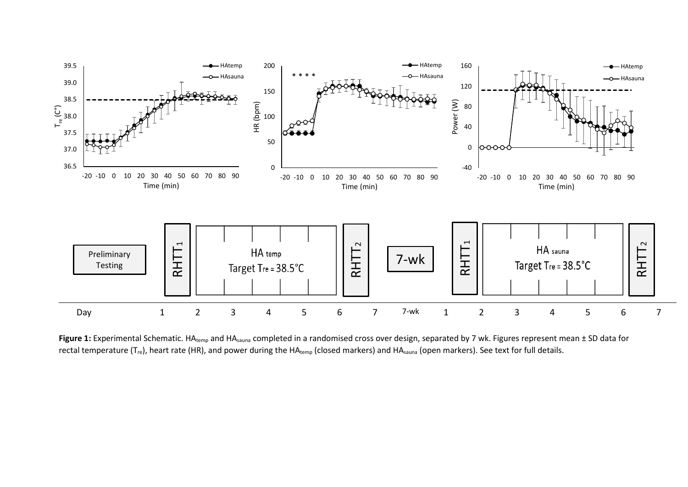

Figure 1: Experimental Schematic. HA<sub>temp</sub> and HA<sub>sauna</sub> completed in a randomised cross over design, separated by 7 wk. Figures represent mean ± SD data for rectal temperature ( $T_{\text{re}}$ ), heart rate (HR), and power during the HA<sub>temp</sub> (closed markers) and HA<sub>sauna</sub> (open markers). See text for full details.